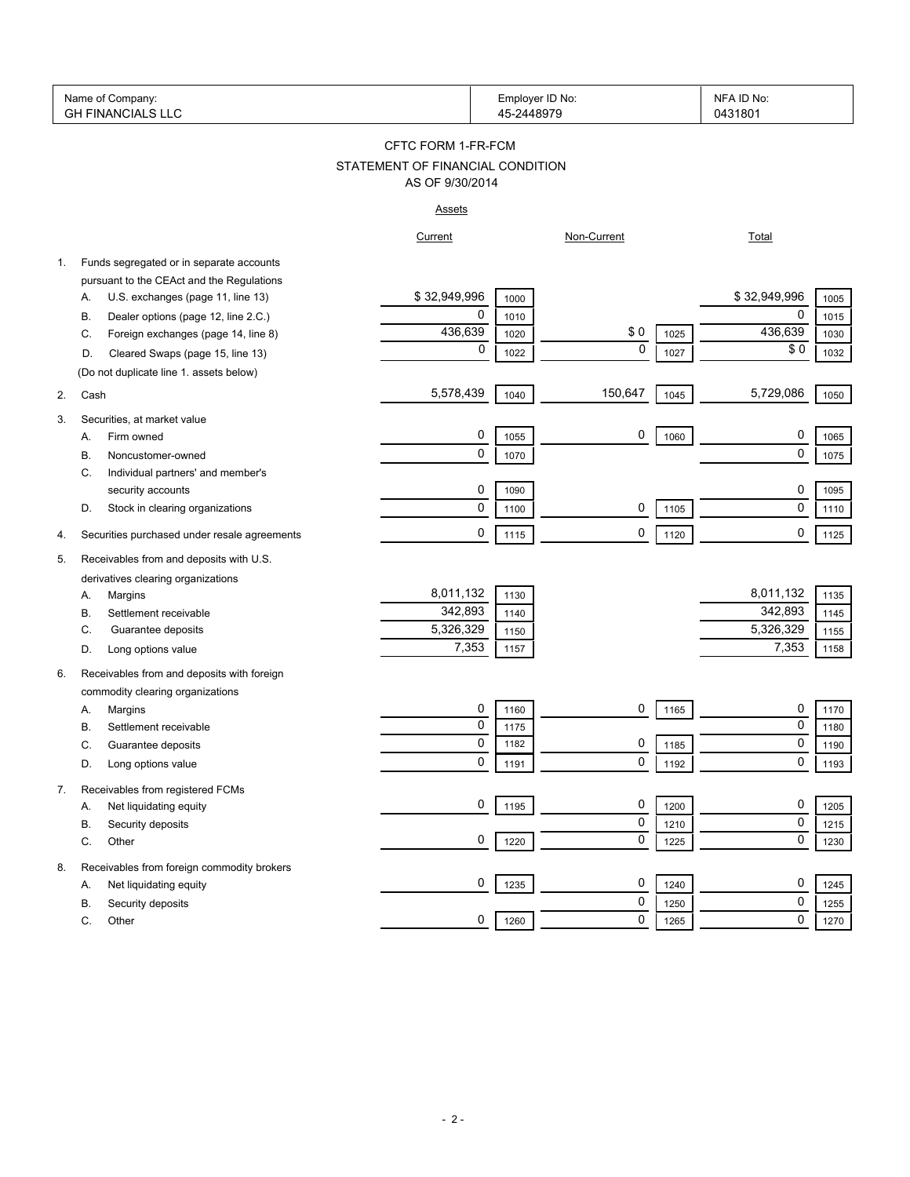| Name of Company:<br><b>GH FINANCIALS LLC</b> |                                                                            |                                  | Employer ID No:<br>45-2448979 |             |              | NFA ID No:<br>0431801       |
|----------------------------------------------|----------------------------------------------------------------------------|----------------------------------|-------------------------------|-------------|--------------|-----------------------------|
|                                              |                                                                            | CFTC FORM 1-FR-FCM               |                               |             |              |                             |
|                                              |                                                                            | STATEMENT OF FINANCIAL CONDITION |                               |             |              |                             |
|                                              |                                                                            | AS OF 9/30/2014                  |                               |             |              |                             |
|                                              |                                                                            | <u>Assets</u>                    |                               |             |              |                             |
|                                              |                                                                            | Current                          |                               | Non-Current |              | <b>Total</b>                |
| 1.                                           | Funds segregated or in separate accounts                                   |                                  |                               |             |              |                             |
|                                              | pursuant to the CEAct and the Regulations                                  |                                  |                               |             |              |                             |
|                                              | U.S. exchanges (page 11, line 13)<br>Α.                                    | \$32,949,996                     | 1000                          |             |              | \$32,949,996<br>1005        |
|                                              | Dealer options (page 12, line 2.C.)<br>В.                                  | 0                                | 1010                          |             |              | 0<br>1015                   |
|                                              | Foreign exchanges (page 14, line 8)<br>C.                                  | 436,639                          | 1020                          | \$0         | 1025         | 436,639<br>1030             |
|                                              | Cleared Swaps (page 15, line 13)<br>D.                                     | 0                                | 1022                          | $\mathbf 0$ | 1027         | \$0<br>1032                 |
|                                              | (Do not duplicate line 1. assets below)                                    |                                  |                               |             |              |                             |
| 2.                                           | Cash                                                                       | 5,578,439                        | 1040                          | 150,647     | 1045         | 5,729,086<br>1050           |
| 3.                                           | Securities, at market value                                                |                                  |                               |             |              |                             |
|                                              | Firm owned<br>А.                                                           | 0                                | 1055                          | 0           | 1060         | 0<br>1065                   |
|                                              | Noncustomer-owned<br>В.                                                    | 0                                | 1070                          |             |              | 0<br>1075                   |
|                                              | Individual partners' and member's<br>C.                                    |                                  |                               |             |              |                             |
|                                              | security accounts                                                          | 0                                | 1090                          |             |              | 0<br>1095                   |
|                                              | Stock in clearing organizations<br>D.                                      | 0                                | 1100                          | 0           | 1105         | $\mathbf 0$<br>1110         |
|                                              |                                                                            |                                  |                               |             |              |                             |
| 4.                                           | Securities purchased under resale agreements                               | 0                                | 1115                          | 0           | 1120         | 0<br>1125                   |
| 5.                                           | Receivables from and deposits with U.S.                                    |                                  |                               |             |              |                             |
|                                              | derivatives clearing organizations                                         |                                  |                               |             |              |                             |
|                                              | Margins<br>А.                                                              | 8,011,132                        | 1130                          |             |              | 8,011,132<br>1135           |
|                                              | Settlement receivable<br>В.                                                | 342,893                          | 1140                          |             |              | 342,893<br>1145             |
|                                              | Guarantee deposits<br>C.                                                   | 5,326,329                        | 1150                          |             |              | 5,326,329<br>1155           |
|                                              | Long options value<br>D.                                                   | 7,353                            | 1157                          |             |              | 7,353<br>1158               |
| 6.                                           | Receivables from and deposits with foreign                                 |                                  |                               |             |              |                             |
|                                              | commodity clearing organizations                                           |                                  |                               |             |              |                             |
|                                              | Margins<br>А.                                                              | 0                                | 1160                          | 0           | 1165         | 0<br>1170                   |
|                                              | В.<br>Settlement receivable                                                | 0                                | 1175                          |             |              | 0<br>1180                   |
|                                              | С<br>Guarantee deposits                                                    | $\Omega$                         | 1182                          | $\Omega$    | 1185         | $\Omega$<br>1190            |
|                                              | Long options value<br>D.                                                   | 0                                | 1191                          | 0           | 1192         | 0<br>1193                   |
| 7.                                           | Receivables from registered FCMs                                           |                                  |                               |             |              |                             |
|                                              | Net liquidating equity<br>А.                                               | 0                                | 1195                          | 0           | 1200         | 0<br>1205                   |
|                                              | Security deposits<br>В.                                                    |                                  |                               | 0           | 1210         | $\mathbf 0$<br>1215         |
|                                              | Other<br>С.                                                                | 0                                | 1220                          | 0           | 1225         | 0<br>1230                   |
|                                              |                                                                            |                                  |                               |             |              |                             |
| 8.                                           | Receivables from foreign commodity brokers<br>Net liquidating equity<br>А. | 0                                | 1235                          | 0           | 1240         | 0<br>1245                   |
|                                              |                                                                            |                                  |                               | 0           |              | 0                           |
|                                              | Security deposits<br>В.<br>С.                                              | 0                                | 1260                          | 0           | 1250<br>1265 | 1255<br>$\mathbf 0$<br>1270 |
|                                              | Other                                                                      |                                  |                               |             |              |                             |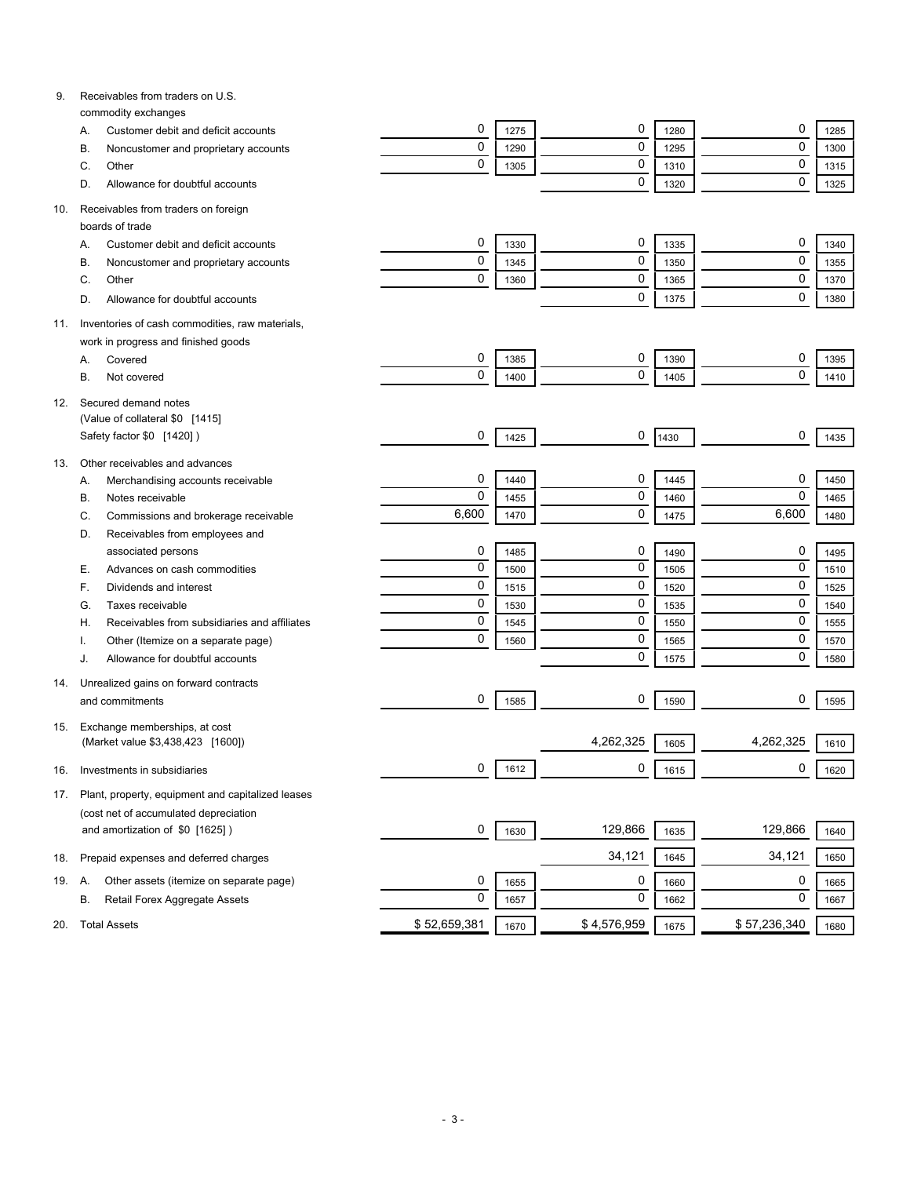| 9.  | Receivables from traders on U.S.                                         |              |      |             |      |              |      |
|-----|--------------------------------------------------------------------------|--------------|------|-------------|------|--------------|------|
|     | commodity exchanges<br>Customer debit and deficit accounts<br>Α.         | 0            | 1275 | 0           | 1280 | 0            | 1285 |
|     | Noncustomer and proprietary accounts<br>В.                               | $\mathbf 0$  | 1290 | 0           | 1295 | $\mathbf 0$  | 1300 |
|     | Other<br>C.                                                              | $\mathbf 0$  | 1305 | 0           | 1310 | $\mathbf 0$  | 1315 |
|     | Allowance for doubtful accounts<br>D.                                    |              |      | 0           | 1320 | $\mathbf 0$  | 1325 |
|     |                                                                          |              |      |             |      |              |      |
| 10. | Receivables from traders on foreign                                      |              |      |             |      |              |      |
|     | boards of trade                                                          |              |      |             |      |              |      |
|     | Customer debit and deficit accounts<br>Α.                                | 0            | 1330 | 0           | 1335 | 0            | 1340 |
|     | Noncustomer and proprietary accounts<br>B                                | 0            | 1345 | 0           | 1350 | $\mathbf 0$  | 1355 |
|     | Other<br>C.                                                              | 0            | 1360 | 0           | 1365 | $\mathbf 0$  | 1370 |
|     | Allowance for doubtful accounts<br>D.                                    |              |      | 0           | 1375 | $\mathbf 0$  | 1380 |
| 11. | Inventories of cash commodities, raw materials,                          |              |      |             |      |              |      |
|     | work in progress and finished goods                                      |              |      |             |      |              |      |
|     | Covered<br>Α.                                                            | 0            | 1385 | 0           | 1390 | 0            | 1395 |
|     | В.<br>Not covered                                                        | 0            | 1400 | 0           | 1405 | $\mathbf 0$  | 1410 |
|     |                                                                          |              |      |             |      |              |      |
| 12. | Secured demand notes                                                     |              |      |             |      |              |      |
|     | (Value of collateral \$0 [1415]                                          |              |      |             |      |              |      |
|     | Safety factor \$0 [1420])                                                | 0            | 1425 | 0           | 1430 | 0            | 1435 |
| 13. | Other receivables and advances                                           |              |      |             |      |              |      |
|     | Merchandising accounts receivable<br>А.                                  | 0            | 1440 | 0           | 1445 | 0            | 1450 |
|     | Notes receivable<br>В.                                                   | $\mathbf 0$  | 1455 | 0           | 1460 | $\mathbf 0$  | 1465 |
|     | Commissions and brokerage receivable<br>C.                               | 6,600        | 1470 | 0           | 1475 | 6,600        | 1480 |
|     | Receivables from employees and<br>D.                                     |              |      |             |      |              |      |
|     | associated persons                                                       | 0            | 1485 | 0           | 1490 | 0            | 1495 |
|     | Advances on cash commodities<br>Е.                                       | $\mathbf 0$  | 1500 | 0           | 1505 | $\mathbf 0$  | 1510 |
|     | Dividends and interest<br>F.                                             | $\mathbf 0$  | 1515 | 0           | 1520 | $\mathbf 0$  | 1525 |
|     | Taxes receivable<br>G.                                                   | $\mathbf 0$  | 1530 | 0           | 1535 | $\mathbf 0$  | 1540 |
|     | Receivables from subsidiaries and affiliates<br>Н.                       | $\mathbf 0$  | 1545 | 0           | 1550 | $\mathbf 0$  | 1555 |
|     | Other (Itemize on a separate page)                                       | $\mathbf 0$  | 1560 | 0           | 1565 | $\mathbf 0$  | 1570 |
|     | Allowance for doubtful accounts<br>J.                                    |              |      | 0           | 1575 | $\mathbf 0$  | 1580 |
|     | Unrealized gains on forward contracts                                    |              |      |             |      |              |      |
| 14. | and commitments                                                          | 0            | 1585 | 0           | 1590 | 0            | 1595 |
|     |                                                                          |              |      |             |      |              |      |
| 15. | Exchange memberships, at cost                                            |              |      |             |      |              |      |
|     | (Market value \$3,438,423 [1600])                                        |              |      | 4,262,325   | 1605 | 4,262,325    | 1610 |
| 16. | Investments in subsidiaries                                              | 0            | 1612 | 0           | 1615 | 0            | 1620 |
|     | Plant, property, equipment and capitalized leases                        |              |      |             |      |              |      |
| 17. |                                                                          |              |      |             |      |              |      |
|     | (cost net of accumulated depreciation<br>and amortization of \$0 [1625]) | 0            |      | 129,866     |      | 129,866      |      |
|     |                                                                          |              | 1630 |             | 1635 |              | 1640 |
| 18. | Prepaid expenses and deferred charges                                    |              |      | 34,121      | 1645 | 34,121       | 1650 |
| 19. | Other assets (itemize on separate page)<br>Α.                            | 0            | 1655 | 0           | 1660 | 0            | 1665 |
|     | Retail Forex Aggregate Assets<br>В.                                      | $\mathbf 0$  | 1657 | 0           | 1662 | 0            | 1667 |
|     |                                                                          |              |      |             |      |              |      |
| 20. | <b>Total Assets</b>                                                      | \$52,659,381 | 1670 | \$4,576,959 | 1675 | \$57,236,340 | 1680 |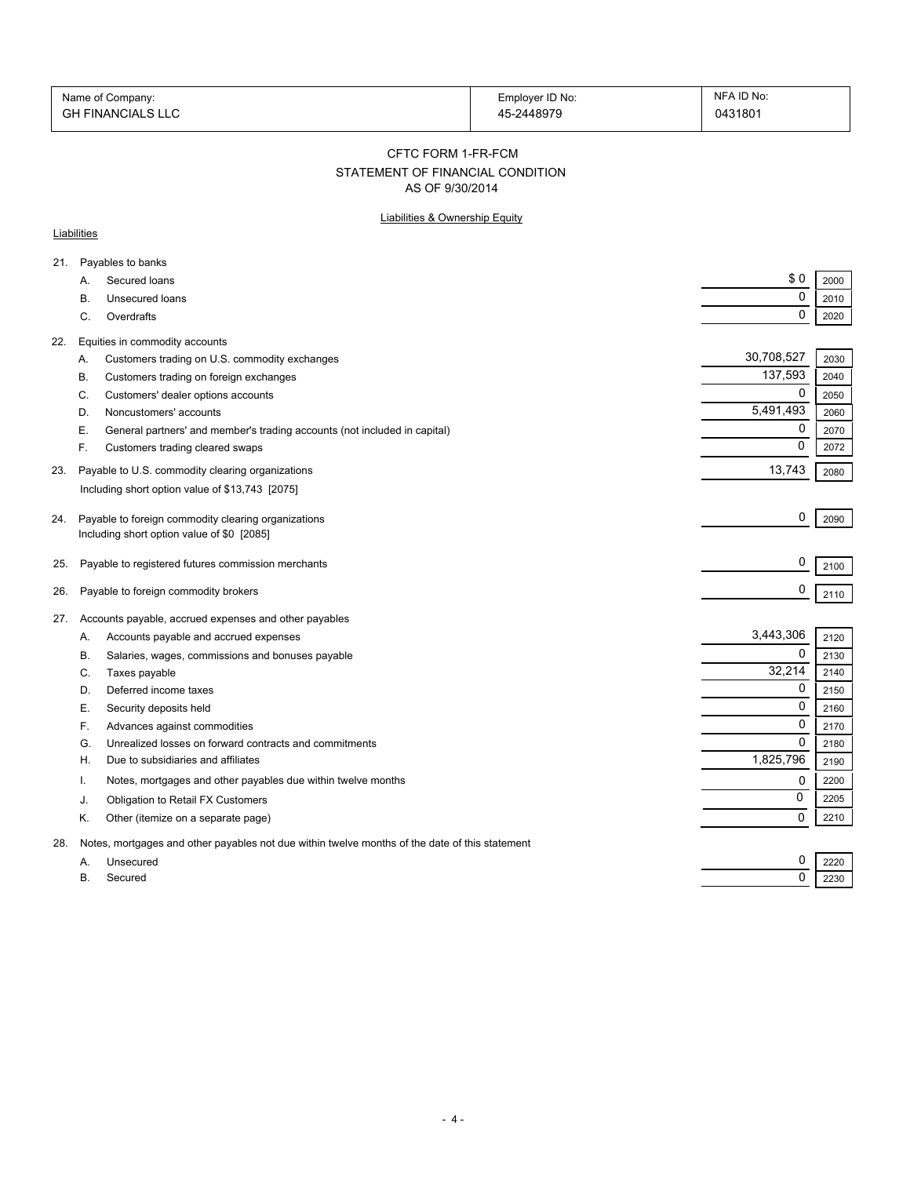| Name of Company:         | Employer ID No: | NFA ID No: |
|--------------------------|-----------------|------------|
| <b>GH FINANCIALS LLC</b> | 45-2448979      | 0431801    |

#### CFTC FORM 1-FR-FCM

# STATEMENT OF FINANCIAL CONDITION

AS OF 9/30/2014

### Liabilities & Ownership Equity

### **Liabilities**

| A.        | Secured loans                                                             | \$0                                                                                                                                                                                                                                                                                                                                                                                                                                                                                                                                                                                                                                                                                                                                                                                                                               | 2000                               |
|-----------|---------------------------------------------------------------------------|-----------------------------------------------------------------------------------------------------------------------------------------------------------------------------------------------------------------------------------------------------------------------------------------------------------------------------------------------------------------------------------------------------------------------------------------------------------------------------------------------------------------------------------------------------------------------------------------------------------------------------------------------------------------------------------------------------------------------------------------------------------------------------------------------------------------------------------|------------------------------------|
| В.        | Unsecured loans                                                           | 0                                                                                                                                                                                                                                                                                                                                                                                                                                                                                                                                                                                                                                                                                                                                                                                                                                 | 2010                               |
| C.        | Overdrafts                                                                | 0                                                                                                                                                                                                                                                                                                                                                                                                                                                                                                                                                                                                                                                                                                                                                                                                                                 | 2020                               |
|           |                                                                           |                                                                                                                                                                                                                                                                                                                                                                                                                                                                                                                                                                                                                                                                                                                                                                                                                                   |                                    |
| Α.        |                                                                           | 30,708,527                                                                                                                                                                                                                                                                                                                                                                                                                                                                                                                                                                                                                                                                                                                                                                                                                        | 2030                               |
| В.        |                                                                           | 137,593                                                                                                                                                                                                                                                                                                                                                                                                                                                                                                                                                                                                                                                                                                                                                                                                                           | 2040                               |
| C.        | Customers' dealer options accounts                                        | 0                                                                                                                                                                                                                                                                                                                                                                                                                                                                                                                                                                                                                                                                                                                                                                                                                                 | 2050                               |
| D.        | Noncustomers' accounts                                                    | 5,491,493                                                                                                                                                                                                                                                                                                                                                                                                                                                                                                                                                                                                                                                                                                                                                                                                                         | 2060                               |
| Е.        | General partners' and member's trading accounts (not included in capital) | 0                                                                                                                                                                                                                                                                                                                                                                                                                                                                                                                                                                                                                                                                                                                                                                                                                                 | 2070                               |
| F.        | Customers trading cleared swaps                                           | 0                                                                                                                                                                                                                                                                                                                                                                                                                                                                                                                                                                                                                                                                                                                                                                                                                                 | 2072                               |
|           |                                                                           | 13,743                                                                                                                                                                                                                                                                                                                                                                                                                                                                                                                                                                                                                                                                                                                                                                                                                            | 2080                               |
|           |                                                                           |                                                                                                                                                                                                                                                                                                                                                                                                                                                                                                                                                                                                                                                                                                                                                                                                                                   |                                    |
|           |                                                                           |                                                                                                                                                                                                                                                                                                                                                                                                                                                                                                                                                                                                                                                                                                                                                                                                                                   |                                    |
|           |                                                                           |                                                                                                                                                                                                                                                                                                                                                                                                                                                                                                                                                                                                                                                                                                                                                                                                                                   | 2090                               |
|           |                                                                           |                                                                                                                                                                                                                                                                                                                                                                                                                                                                                                                                                                                                                                                                                                                                                                                                                                   |                                    |
|           |                                                                           |                                                                                                                                                                                                                                                                                                                                                                                                                                                                                                                                                                                                                                                                                                                                                                                                                                   | 2100                               |
|           |                                                                           | 0                                                                                                                                                                                                                                                                                                                                                                                                                                                                                                                                                                                                                                                                                                                                                                                                                                 | 2110                               |
|           |                                                                           |                                                                                                                                                                                                                                                                                                                                                                                                                                                                                                                                                                                                                                                                                                                                                                                                                                   |                                    |
|           |                                                                           |                                                                                                                                                                                                                                                                                                                                                                                                                                                                                                                                                                                                                                                                                                                                                                                                                                   | 2120                               |
|           |                                                                           |                                                                                                                                                                                                                                                                                                                                                                                                                                                                                                                                                                                                                                                                                                                                                                                                                                   | 2130                               |
|           |                                                                           |                                                                                                                                                                                                                                                                                                                                                                                                                                                                                                                                                                                                                                                                                                                                                                                                                                   | 2140                               |
|           |                                                                           | 0                                                                                                                                                                                                                                                                                                                                                                                                                                                                                                                                                                                                                                                                                                                                                                                                                                 | 2150                               |
|           |                                                                           | $\mathbf 0$                                                                                                                                                                                                                                                                                                                                                                                                                                                                                                                                                                                                                                                                                                                                                                                                                       | 2160                               |
|           |                                                                           | 0                                                                                                                                                                                                                                                                                                                                                                                                                                                                                                                                                                                                                                                                                                                                                                                                                                 | 2170                               |
| G.        | Unrealized losses on forward contracts and commitments                    | $\Omega$                                                                                                                                                                                                                                                                                                                                                                                                                                                                                                                                                                                                                                                                                                                                                                                                                          | 2180                               |
| Н.        | Due to subsidiaries and affiliates                                        | 1,825,796                                                                                                                                                                                                                                                                                                                                                                                                                                                                                                                                                                                                                                                                                                                                                                                                                         | 2190                               |
| т.        | Notes, mortgages and other payables due within twelve months              | 0                                                                                                                                                                                                                                                                                                                                                                                                                                                                                                                                                                                                                                                                                                                                                                                                                                 | 2200                               |
| J.        | Obligation to Retail FX Customers                                         | 0                                                                                                                                                                                                                                                                                                                                                                                                                                                                                                                                                                                                                                                                                                                                                                                                                                 | 2205                               |
| Κ.        | Other (itemize on a separate page)                                        | 0                                                                                                                                                                                                                                                                                                                                                                                                                                                                                                                                                                                                                                                                                                                                                                                                                                 | 2210                               |
|           |                                                                           |                                                                                                                                                                                                                                                                                                                                                                                                                                                                                                                                                                                                                                                                                                                                                                                                                                   |                                    |
| А.        |                                                                           | 0                                                                                                                                                                                                                                                                                                                                                                                                                                                                                                                                                                                                                                                                                                                                                                                                                                 | 2220                               |
| <b>B.</b> | Secured                                                                   | 0                                                                                                                                                                                                                                                                                                                                                                                                                                                                                                                                                                                                                                                                                                                                                                                                                                 | 2230                               |
|           | 27.<br>А.<br>В.<br>C.<br>D.<br>Е.<br>F.                                   | Payables to banks<br>Equities in commodity accounts<br>Customers trading on U.S. commodity exchanges<br>Customers trading on foreign exchanges<br>Payable to U.S. commodity clearing organizations<br>Including short option value of \$13,743 [2075]<br>Payable to foreign commodity clearing organizations<br>Including short option value of \$0 [2085]<br>Payable to registered futures commission merchants<br>Payable to foreign commodity brokers<br>Accounts payable, accrued expenses and other payables<br>Accounts payable and accrued expenses<br>Salaries, wages, commissions and bonuses payable<br>Taxes payable<br>Deferred income taxes<br>Security deposits held<br>Advances against commodities<br>Notes, mortgages and other payables not due within twelve months of the date of this statement<br>Unsecured | 0<br>0<br>3,443,306<br>0<br>32,214 |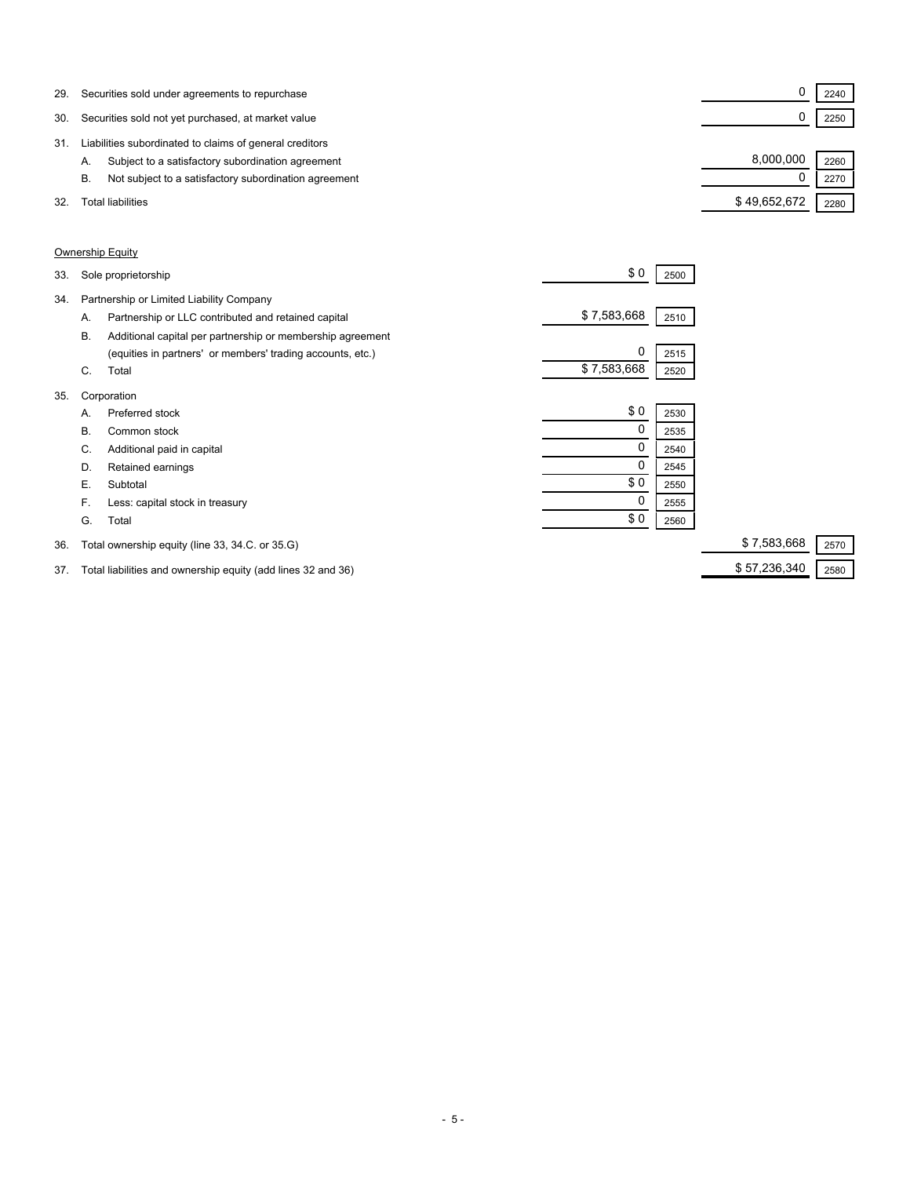| 29. | Securities sold under agreements to repurchase              |              | 2240 |  |
|-----|-------------------------------------------------------------|--------------|------|--|
| 30. | Securities sold not yet purchased, at market value          |              | 2250 |  |
| 31  | Liabilities subordinated to claims of general creditors     |              |      |  |
|     | Subject to a satisfactory subordination agreement<br>Α.     | 8,000,000    | 2260 |  |
|     | Not subject to a satisfactory subordination agreement<br>В. |              | 2270 |  |
| 32. | Total liabilities                                           | \$49,652,672 | 2280 |  |

### Ownership Equity

| 33. |    | Sole proprietorship                                        | \$0         | 2500 |                     |
|-----|----|------------------------------------------------------------|-------------|------|---------------------|
| 34. |    | Partnership or Limited Liability Company                   |             |      |                     |
|     | Α. | Partnership or LLC contributed and retained capital        | \$7,583,668 | 2510 |                     |
|     | В. | Additional capital per partnership or membership agreement |             |      |                     |
|     |    | (equities in partners' or members' trading accounts, etc.) | $\Omega$    | 2515 |                     |
|     | C. | Total                                                      | \$7,583,668 | 2520 |                     |
| 35. |    | Corporation                                                |             |      |                     |
|     | А. | Preferred stock                                            | \$0         | 2530 |                     |
|     | В. | Common stock                                               | 0           | 2535 |                     |
|     | C. | Additional paid in capital                                 | 0           | 2540 |                     |
|     | D. | Retained earnings                                          | 0           | 2545 |                     |
|     | Е. | Subtotal                                                   | \$0         | 2550 |                     |
|     | F. | Less: capital stock in treasury                            | 0           | 2555 |                     |
|     | G. | Total                                                      | \$0         | 2560 |                     |
| 36. |    | Total ownership equity (line 33, 34.C. or 35.G)            |             |      | \$7,583,668<br>2570 |

37. Total liabilities and ownership equity (add lines 32 and 36) \$57,236,340 \$ 57,236,340 2580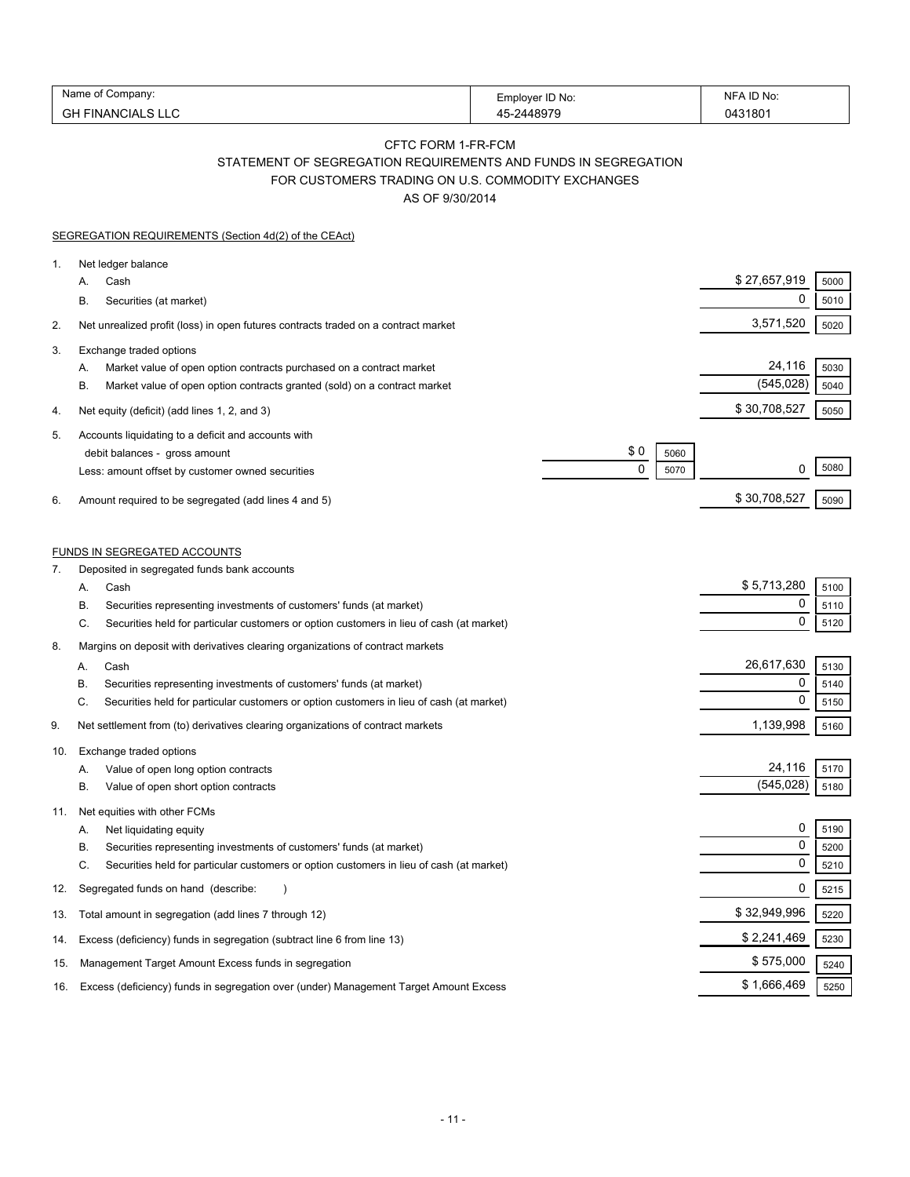| Alamr<br>∶ompanv:                   | ID No:<br>-mnlover ' | ) No<br><b>NIH</b> |
|-------------------------------------|----------------------|--------------------|
| $\sim$<br>INANC<br>чΔ.<br>UГ<br>LV. | 10070                | 043180             |

### CFTC FORM 1-FR-FCM STATEMENT OF SEGREGATION REQUIREMENTS AND FUNDS IN SEGREGATION FOR CUSTOMERS TRADING ON U.S. COMMODITY EXCHANGES

AS OF 9/30/2014

|     | SEGREGATION REQUIREMENTS (Section 4d(2) of the CEAct)                                                                                                                                                                                                                       |                                    |                                 |                      |
|-----|-----------------------------------------------------------------------------------------------------------------------------------------------------------------------------------------------------------------------------------------------------------------------------|------------------------------------|---------------------------------|----------------------|
| 1.  | Net ledger balance<br>Cash<br>А.<br>Securities (at market)<br>В.                                                                                                                                                                                                            |                                    | \$27,657,919<br>0               | 5000<br>5010         |
| 2.  | Net unrealized profit (loss) in open futures contracts traded on a contract market                                                                                                                                                                                          |                                    | 3,571,520                       | 5020                 |
| 3.  | Exchange traded options<br>Market value of open option contracts purchased on a contract market<br>А.<br>Β.<br>Market value of open option contracts granted (sold) on a contract market                                                                                    |                                    | 24,116<br>(545, 028)            | 5030<br>5040         |
| 4.  | Net equity (deficit) (add lines 1, 2, and 3)                                                                                                                                                                                                                                |                                    | \$30,708,527                    | 5050                 |
| 5.  | Accounts liquidating to a deficit and accounts with<br>debit balances - gross amount<br>Less: amount offset by customer owned securities                                                                                                                                    | \$0<br>5060<br>$\mathbf 0$<br>5070 | 0                               | 5080                 |
| 6.  | Amount required to be segregated (add lines 4 and 5)                                                                                                                                                                                                                        |                                    | \$30,708,527                    | 5090                 |
| 7.  | <b>FUNDS IN SEGREGATED ACCOUNTS</b><br>Deposited in segregated funds bank accounts                                                                                                                                                                                          |                                    |                                 |                      |
|     | Cash<br>Α.                                                                                                                                                                                                                                                                  |                                    | \$5,713,280<br>0                | 5100<br>5110         |
|     | Securities representing investments of customers' funds (at market)<br>В.<br>Securities held for particular customers or option customers in lieu of cash (at market)<br>C.                                                                                                 |                                    | $\mathbf 0$                     | 5120                 |
| 8.  | Margins on deposit with derivatives clearing organizations of contract markets<br>Cash<br>А.<br>Securities representing investments of customers' funds (at market)<br>В.<br>C.<br>Securities held for particular customers or option customers in lieu of cash (at market) |                                    | 26,617,630<br>0<br>$\mathbf 0$  | 5130<br>5140<br>5150 |
| 9.  | Net settlement from (to) derivatives clearing organizations of contract markets                                                                                                                                                                                             |                                    | 1,139,998                       | 5160                 |
| 10. | Exchange traded options<br>Value of open long option contracts<br>А.<br>В.<br>Value of open short option contracts                                                                                                                                                          |                                    | 24,116<br>(545, 028)            | 5170<br>5180         |
| 11. | Net equities with other FCMs<br>Net liquidating equity<br>А.<br>Securities representing investments of customers' funds (at market)<br>В.<br>C.<br>Securities held for particular customers or option customers in lieu of cash (at market)                                 |                                    | 0<br>$\mathbf 0$<br>$\mathbf 0$ | 5190<br>5200<br>5210 |
| 12. | Segregated funds on hand (describe:                                                                                                                                                                                                                                         |                                    | 0                               | 5215                 |
| 13. | Total amount in segregation (add lines 7 through 12)                                                                                                                                                                                                                        |                                    | \$32,949,996                    | 5220                 |
| 14. | Excess (deficiency) funds in segregation (subtract line 6 from line 13)                                                                                                                                                                                                     |                                    | \$2,241,469                     | 5230                 |
| 15. | Management Target Amount Excess funds in segregation                                                                                                                                                                                                                        |                                    | \$575,000                       | 5240                 |
| 16. | Excess (deficiency) funds in segregation over (under) Management Target Amount Excess                                                                                                                                                                                       |                                    | \$1,666,469                     | 5250                 |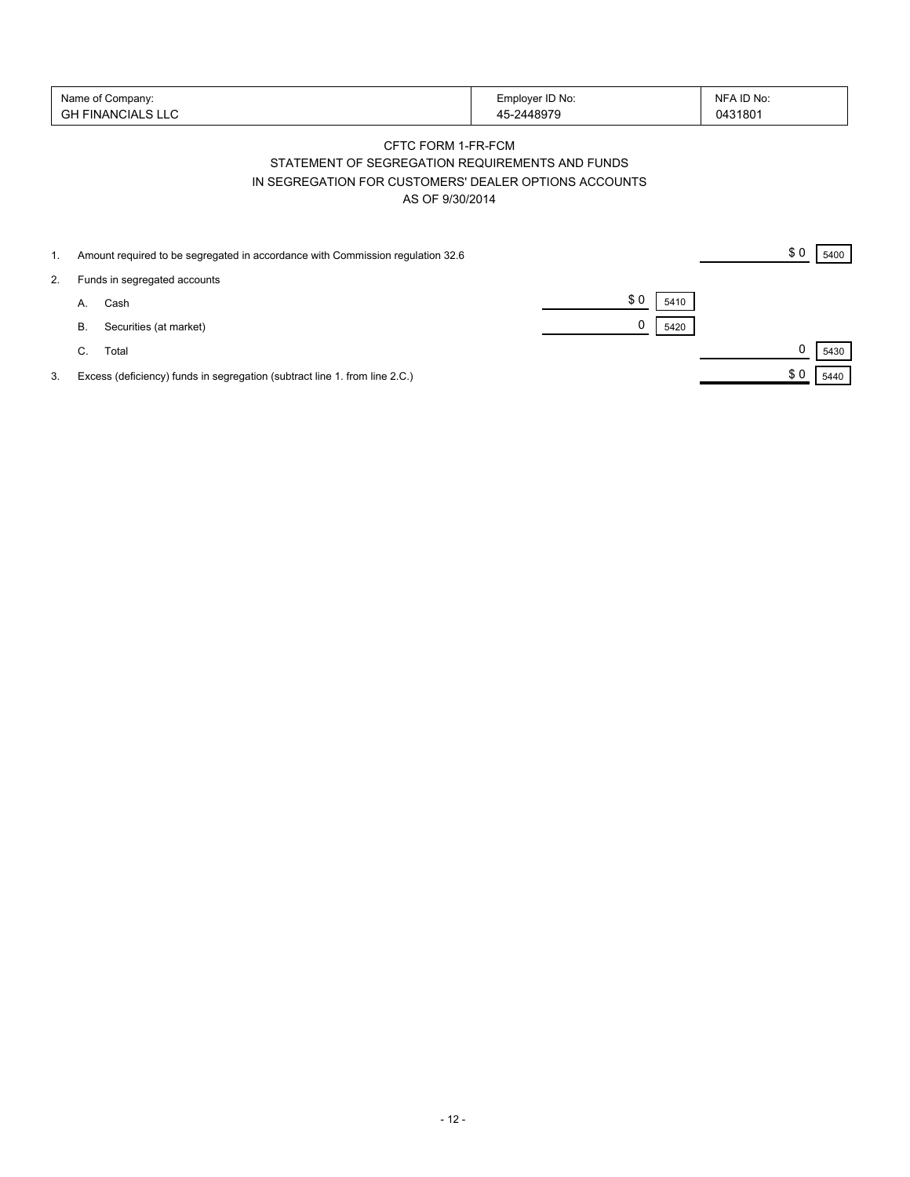| Name of Company:   | Employer ID No: | NFA ID No: |
|--------------------|-----------------|------------|
| 'GH FINANCIALS LLC | -2448979        | 0431801    |

## CFTC FORM 1-FR-FCM STATEMENT OF SEGREGATION REQUIREMENTS AND FUNDS IN SEGREGATION FOR CUSTOMERS' DEALER OPTIONS ACCOUNTS AS OF 9/30/2014

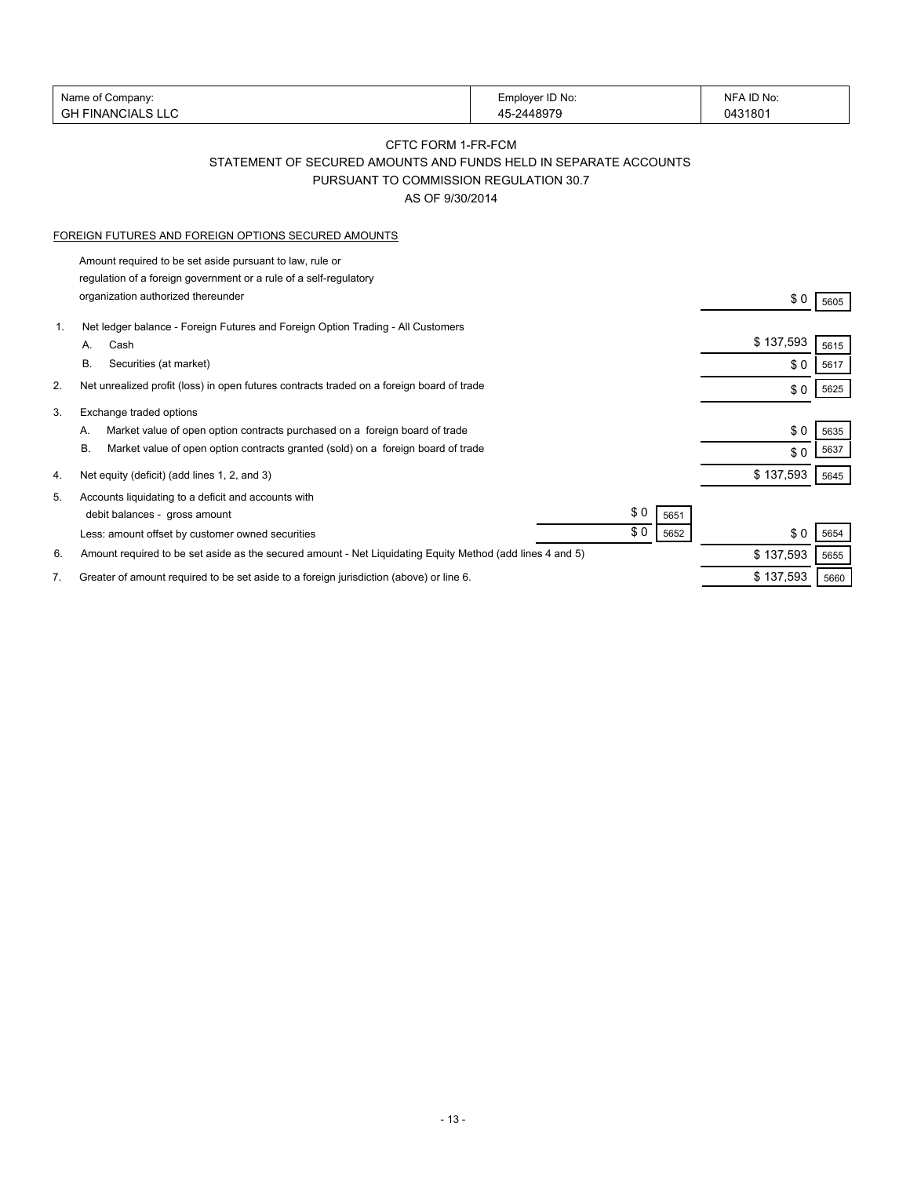| Name of Company:              |                                                                                                           | Employer ID No: | NFA ID No: |      |
|-------------------------------|-----------------------------------------------------------------------------------------------------------|-----------------|------------|------|
| <b>GH FINANCIALS LLC</b>      |                                                                                                           | 45-2448979      | 0431801    |      |
|                               |                                                                                                           |                 |            |      |
|                               | CFTC FORM 1-FR-FCM                                                                                        |                 |            |      |
|                               | STATEMENT OF SECURED AMOUNTS AND FUNDS HELD IN SEPARATE ACCOUNTS                                          |                 |            |      |
|                               | PURSUANT TO COMMISSION REGULATION 30.7                                                                    |                 |            |      |
|                               | AS OF 9/30/2014                                                                                           |                 |            |      |
|                               | FOREIGN FUTURES AND FOREIGN OPTIONS SECURED AMOUNTS                                                       |                 |            |      |
|                               | Amount required to be set aside pursuant to law, rule or                                                  |                 |            |      |
|                               | regulation of a foreign government or a rule of a self-regulatory                                         |                 |            |      |
|                               | organization authorized thereunder                                                                        |                 | \$0        | 5605 |
|                               |                                                                                                           |                 |            |      |
| $\mathbf{1}$ .                | Net ledger balance - Foreign Futures and Foreign Option Trading - All Customers                           |                 | \$137,593  |      |
| Cash<br>А.                    |                                                                                                           |                 |            | 5615 |
| В.                            | Securities (at market)                                                                                    |                 | \$0        | 5617 |
| 2.                            | Net unrealized profit (loss) in open futures contracts traded on a foreign board of trade                 |                 | \$0        | 5625 |
| Exchange traded options<br>3. |                                                                                                           |                 |            |      |
| А.                            | Market value of open option contracts purchased on a foreign board of trade                               |                 | \$0        | 5635 |
| В.                            | Market value of open option contracts granted (sold) on a foreign board of trade                          |                 | \$0        | 5637 |
|                               |                                                                                                           |                 |            |      |
| 4.                            | Net equity (deficit) (add lines 1, 2, and 3)                                                              |                 | \$137,593  | 5645 |
| 5.                            | Accounts liquidating to a deficit and accounts with                                                       |                 |            |      |
|                               | debit balances - gross amount                                                                             | \$0<br>5651     |            |      |
|                               | Less: amount offset by customer owned securities                                                          | \$0<br>5652     | \$0        | 5654 |
| 6.                            | Amount required to be set aside as the secured amount - Net Liquidating Equity Method (add lines 4 and 5) |                 | \$137,593  | 5655 |
| 7.                            | Greater of amount required to be set aside to a foreign jurisdiction (above) or line 6.                   |                 | \$137,593  | 5660 |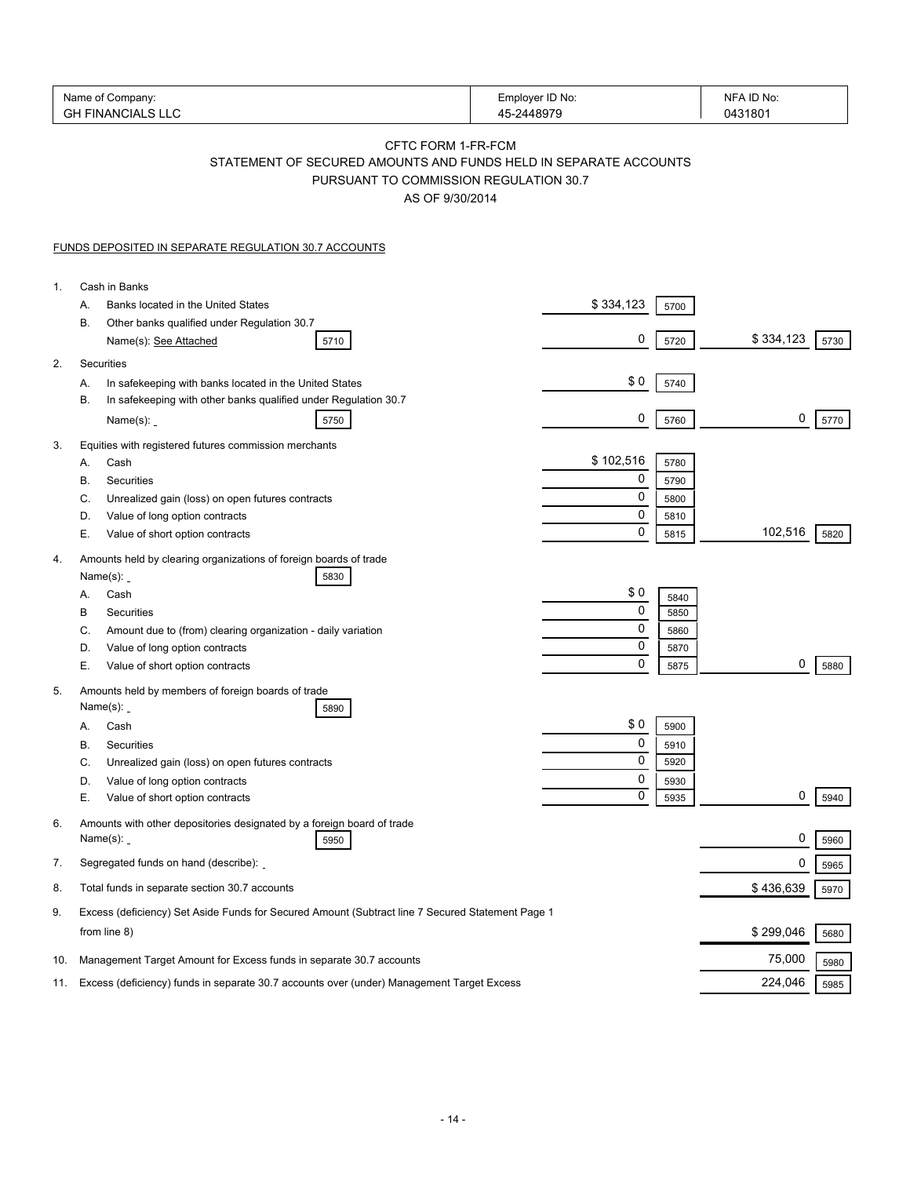|     | Name of Company:<br><b>GH FINANCIALS LLC</b>                                                                                                        | Employer ID No:<br>45-2448979 | NFA ID No:<br>0431801 |
|-----|-----------------------------------------------------------------------------------------------------------------------------------------------------|-------------------------------|-----------------------|
|     | CFTC FORM 1-FR-FCM<br>STATEMENT OF SECURED AMOUNTS AND FUNDS HELD IN SEPARATE ACCOUNTS<br>PURSUANT TO COMMISSION REGULATION 30.7<br>AS OF 9/30/2014 |                               |                       |
|     | FUNDS DEPOSITED IN SEPARATE REGULATION 30.7 ACCOUNTS                                                                                                |                               |                       |
| 1.  | Cash in Banks                                                                                                                                       |                               |                       |
|     | Banks located in the United States<br>А.                                                                                                            | \$334,123<br>5700             |                       |
|     | В.<br>Other banks qualified under Regulation 30.7<br>Name(s): See Attached<br>5710                                                                  | 0<br>5720                     | \$334,123<br>5730     |
| 2.  | Securities                                                                                                                                          |                               |                       |
|     | In safekeeping with banks located in the United States<br>А.                                                                                        | \$0<br>5740                   |                       |
|     | В.<br>In safekeeping with other banks qualified under Regulation 30.7<br>Name $(s)$ :<br>5750                                                       | 0<br>5760                     | 0<br>5770             |
| 3.  | Equities with registered futures commission merchants                                                                                               |                               |                       |
|     | Cash<br>А.                                                                                                                                          | \$102,516<br>5780             |                       |
|     | В.<br>Securities                                                                                                                                    | 0<br>5790<br>0                |                       |
|     | C.<br>Unrealized gain (loss) on open futures contracts<br>Value of long option contracts<br>D.                                                      | 5800<br>0                     |                       |
|     | Е.<br>Value of short option contracts                                                                                                               | 5810<br>$\mathbf 0$<br>5815   | 102,516<br>5820       |
| 4.  | Amounts held by clearing organizations of foreign boards of trade<br>Name $(s)$ :<br>5830                                                           |                               |                       |
|     | Cash<br>А.                                                                                                                                          | \$0                           | 5840                  |
|     | В<br>Securities                                                                                                                                     | 0                             | 5850                  |
|     | C.<br>Amount due to (from) clearing organization - daily variation                                                                                  | 0                             | 5860                  |
|     | Value of long option contracts<br>D.                                                                                                                | 0                             | 5870                  |
|     | Е.<br>Value of short option contracts                                                                                                               | 0                             | 0<br>5875<br>5880     |
| 5.  | Amounts held by members of foreign boards of trade<br>Name $(s)$ :<br>5890                                                                          |                               |                       |
|     | Cash<br>А.                                                                                                                                          | \$0<br>5900                   |                       |
|     | В.<br>Securities                                                                                                                                    | 0<br>5910                     |                       |
|     | C.<br>Unrealized gain (loss) on open futures contracts                                                                                              | 0<br>5920                     |                       |
|     | Value of long option contracts<br>D.                                                                                                                | 0<br>5930                     |                       |
|     | Е.<br>Value of short option contracts                                                                                                               | 0<br>5935                     | 0<br>5940             |
| 6.  | Amounts with other depositories designated by a foreign board of trade<br>Name $(s)$ :<br>5950                                                      |                               | 0<br>5960             |
| 7.  | Segregated funds on hand (describe):                                                                                                                |                               | 0<br>5965             |
| 8.  | Total funds in separate section 30.7 accounts                                                                                                       |                               | \$436,639<br>5970     |
| 9.  | Excess (deficiency) Set Aside Funds for Secured Amount (Subtract line 7 Secured Statement Page 1<br>from line 8)                                    |                               | \$299,046<br>5680     |
| 10. | Management Target Amount for Excess funds in separate 30.7 accounts                                                                                 |                               | 75,000<br>5980        |
| 11. | Excess (deficiency) funds in separate 30.7 accounts over (under) Management Target Excess                                                           |                               | 224,046<br>5985       |
|     |                                                                                                                                                     |                               |                       |